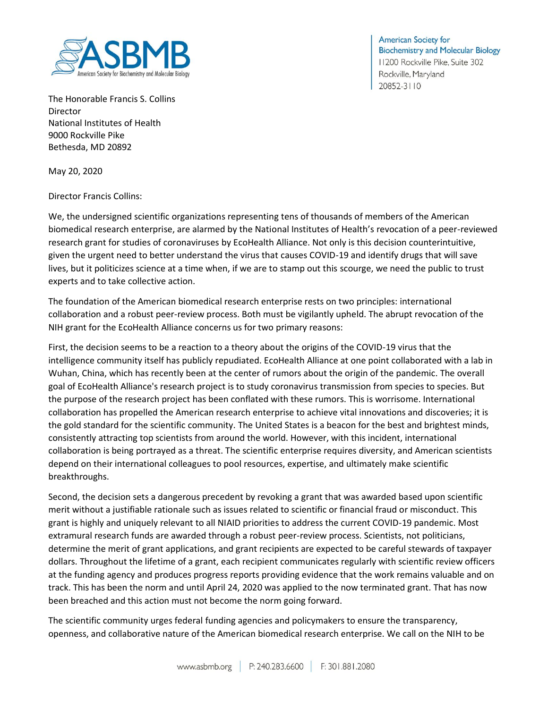

**American Society for Biochemistry and Molecular Biology** 11200 Rockville Pike, Suite 302 Rockville, Maryland 20852-3110

The Honorable Francis S. Collins Director National Institutes of Health 9000 Rockville Pike Bethesda, MD 20892

May 20, 2020

Director Francis Collins:

We, the undersigned scientific organizations representing tens of thousands of members of the American biomedical research enterprise, are alarmed by the National Institutes of Health's revocation of a peer-reviewed research grant for studies of coronaviruses by EcoHealth Alliance. Not only is this decision counterintuitive, given the urgent need to better understand the virus that causes COVID-19 and identify drugs that will save lives, but it politicizes science at a time when, if we are to stamp out this scourge, we need the public to trust experts and to take collective action.

The foundation of the American biomedical research enterprise rests on two principles: international collaboration and a robust peer-review process. Both must be vigilantly upheld. The abrupt revocation of the NIH grant for the EcoHealth Alliance concerns us for two primary reasons:

First, the decision seems to be a reaction to a theory about the origins of the COVID-19 virus that the intelligence community itself has publicly repudiated. EcoHealth Alliance at one point collaborated with a lab in Wuhan, China, which has recently been at the center of rumors about the origin of the pandemic. The overall goal of EcoHealth Alliance's research project is to study coronavirus transmission from species to species. But the purpose of the research project has been conflated with these rumors. This is worrisome. International collaboration has propelled the American research enterprise to achieve vital innovations and discoveries; it is the gold standard for the scientific community. The United States is a beacon for the best and brightest minds, consistently attracting top scientists from around the world. However, with this incident, international collaboration is being portrayed as a threat. The scientific enterprise requires diversity, and American scientists depend on their international colleagues to pool resources, expertise, and ultimately make scientific breakthroughs.

Second, the decision sets a dangerous precedent by revoking a grant that was awarded based upon scientific merit without a justifiable rationale such as issues related to scientific or financial fraud or misconduct. This grant is highly and uniquely relevant to all NIAID priorities to address the current COVID-19 pandemic. Most extramural research funds are awarded through a robust peer-review process. Scientists, not politicians, determine the merit of grant applications, and grant recipients are expected to be careful stewards of taxpayer dollars. Throughout the lifetime of a grant, each recipient communicates regularly with scientific review officers at the funding agency and produces progress reports providing evidence that the work remains valuable and on track. This has been the norm and until April 24, 2020 was applied to the now terminated grant. That has now been breached and this action must not become the norm going forward.

The scientific community urges federal funding agencies and policymakers to ensure the transparency, openness, and collaborative nature of the American biomedical research enterprise. We call on the NIH to be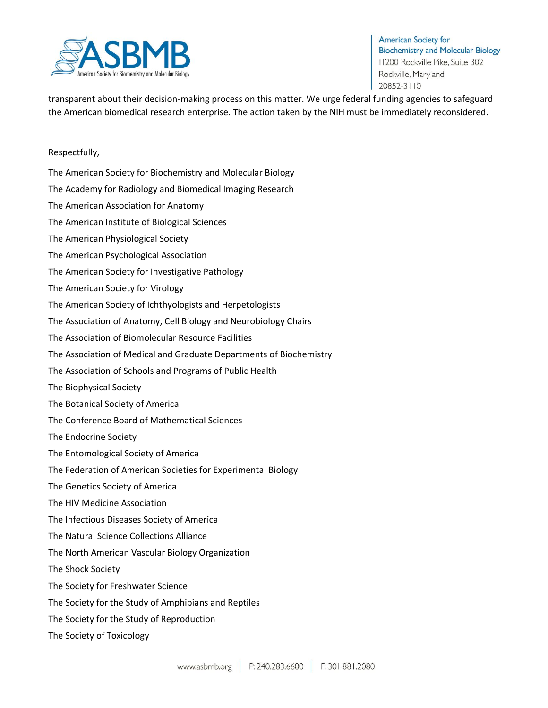

transparent about their decision-making process on this matter. We urge federal funding agencies to safeguard the American biomedical research enterprise. The action taken by the NIH must be immediately reconsidered.

## Respectfully,

The American Society for Biochemistry and Molecular Biology The Academy for Radiology and Biomedical Imaging Research The American Association for Anatomy The American Institute of Biological Sciences The American Physiological Society The American Psychological Association The American Society for Investigative Pathology The American Society for Virology The American Society of Ichthyologists and Herpetologists The Association of Anatomy, Cell Biology and Neurobiology Chairs The Association of Biomolecular Resource Facilities The Association of Medical and Graduate Departments of Biochemistry The Association of Schools and Programs of Public Health The Biophysical Society The Botanical Society of America The Conference Board of Mathematical Sciences The Endocrine Society The Entomological Society of America The Federation of American Societies for Experimental Biology The Genetics Society of America The HIV Medicine Association The Infectious Diseases Society of America The Natural Science Collections Alliance The North American Vascular Biology Organization The Shock Society The Society for Freshwater Science The Society for the Study of Amphibians and Reptiles The Society for the Study of Reproduction The Society of Toxicology